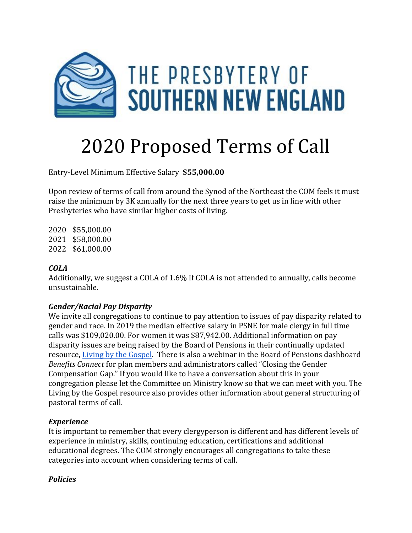

# 2020 Proposed Terms of Call

Entry-Level Minimum Effective Salary \$55,000.00

Upon review of terms of call from around the Synod of the Northeast the COM feels it must raise the minimum by 3K annually for the next three years to get us in line with other Presbyteries who have similar higher costs of living.

2020 \$55,000.00 2021 \$58,000.00 2022 \$61,000.00

## COLA

Additionally, we suggest a COLA of 1.6% If COLA is not attended to annually, calls become unsustainable.

### Gender/Racial Pay Disparity

We invite all congregations to continue to pay attention to issues of pay disparity related to gender and race. In 2019 the median effective salary in PSNE for male clergy in full time calls was \$109,020.00. For women it was \$87,942.00. Additional information on pay disparity issues are being raised by the Board of Pensions in their continually updated resource, Living by the Gospel. There is also a webinar in the Board of Pensions dashboard Benefits Connect for plan members and administrators called "Closing the Gender Compensation Gap." If you would like to have a conversation about this in your congregation please let the Committee on Ministry know so that we can meet with you. The Living by the Gospel resource also provides other information about general structuring of pastoral terms of call.

### Experience

It is important to remember that every clergyperson is different and has different levels of experience in ministry, skills, continuing education, certifications and additional educational degrees. The COM strongly encourages all congregations to take these categories into account when considering terms of call.

### Policies